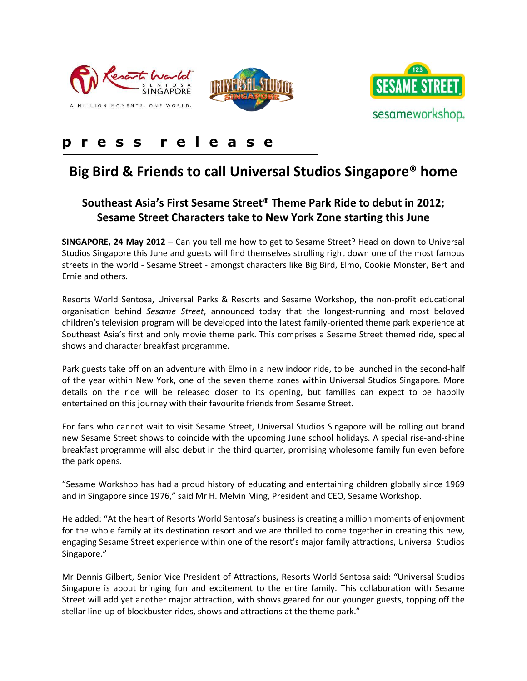





## **p r e s s r e l e a s e**

# **Big Bird & Friends to call Universal Studios Singapore® home**

### **Southeast Asia's First Sesame Street® Theme Park Ride to debut in 2012; Sesame Street Characters take to New York Zone starting this June**

**SINGAPORE, 24 May 2012 –** Can you tell me how to get to Sesame Street? Head on down to Universal Studios Singapore this June and guests will find themselves strolling right down one of the most famous streets in the world - Sesame Street - amongst characters like Big Bird, Elmo, Cookie Monster, Bert and Ernie and others.

Resorts World Sentosa, Universal Parks & Resorts and Sesame Workshop, the non-profit educational organisation behind *Sesame Street*, announced today that the longest-running and most beloved children's television program will be developed into the latest family-oriented theme park experience at Southeast Asia's first and only movie theme park. This comprises a Sesame Street themed ride, special shows and character breakfast programme.

Park guests take off on an adventure with Elmo in a new indoor ride, to be launched in the second-half of the year within New York, one of the seven theme zones within Universal Studios Singapore. More details on the ride will be released closer to its opening, but families can expect to be happily entertained on this journey with their favourite friends from Sesame Street.

For fans who cannot wait to visit Sesame Street, Universal Studios Singapore will be rolling out brand new Sesame Street shows to coincide with the upcoming June school holidays. A special rise-and-shine breakfast programme will also debut in the third quarter, promising wholesome family fun even before the park opens.

"Sesame Workshop has had a proud history of educating and entertaining children globally since 1969 and in Singapore since 1976," said Mr H. Melvin Ming, President and CEO, Sesame Workshop.

He added: "At the heart of Resorts World Sentosa's business is creating a million moments of enjoyment for the whole family at its destination resort and we are thrilled to come together in creating this new, engaging Sesame Street experience within one of the resort's major family attractions, Universal Studios Singapore."

Mr Dennis Gilbert, Senior Vice President of Attractions, Resorts World Sentosa said: "Universal Studios Singapore is about bringing fun and excitement to the entire family. This collaboration with Sesame Street will add yet another major attraction, with shows geared for our younger guests, topping off the stellar line-up of blockbuster rides, shows and attractions at the theme park."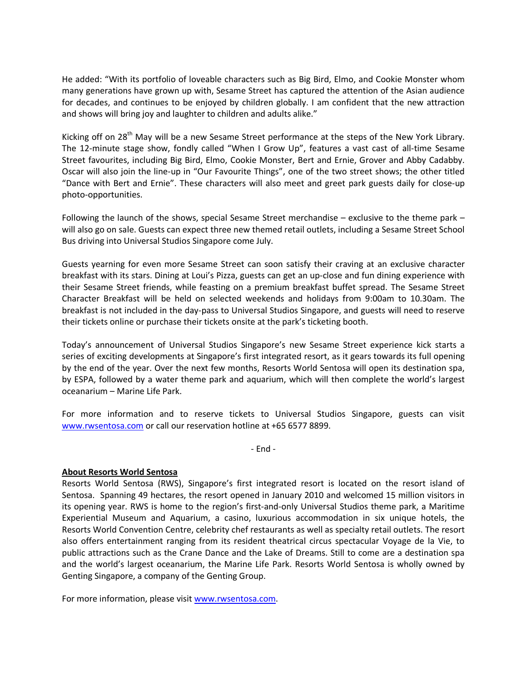He added: "With its portfolio of loveable characters such as Big Bird, Elmo, and Cookie Monster whom many generations have grown up with, Sesame Street has captured the attention of the Asian audience for decades, and continues to be enjoyed by children globally. I am confident that the new attraction and shows will bring joy and laughter to children and adults alike."

Kicking off on 28<sup>th</sup> May will be a new Sesame Street performance at the steps of the New York Library. The 12-minute stage show, fondly called "When I Grow Up", features a vast cast of all-time Sesame Street favourites, including Big Bird, Elmo, Cookie Monster, Bert and Ernie, Grover and Abby Cadabby. Oscar will also join the line-up in "Our Favourite Things", one of the two street shows; the other titled "Dance with Bert and Ernie". These characters will also meet and greet park guests daily for close-up photo-opportunities.

Following the launch of the shows, special Sesame Street merchandise – exclusive to the theme park – will also go on sale. Guests can expect three new themed retail outlets, including a Sesame Street School Bus driving into Universal Studios Singapore come July.

Guests yearning for even more Sesame Street can soon satisfy their craving at an exclusive character breakfast with its stars. Dining at Loui's Pizza, guests can get an up-close and fun dining experience with their Sesame Street friends, while feasting on a premium breakfast buffet spread. The Sesame Street Character Breakfast will be held on selected weekends and holidays from 9:00am to 10.30am. The breakfast is not included in the day-pass to Universal Studios Singapore, and guests will need to reserve their tickets online or purchase their tickets onsite at the park's ticketing booth.

Today's announcement of Universal Studios Singapore's new Sesame Street experience kick starts a series of exciting developments at Singapore's first integrated resort, as it gears towards its full opening by the end of the year. Over the next few months, Resorts World Sentosa will open its destination spa, by ESPA, followed by a water theme park and aquarium, which will then complete the world's largest oceanarium – Marine Life Park.

For more information and to reserve tickets to Universal Studios Singapore, guests can visit [www.rwsentosa.com](http://www.rwsentosa.com/) or call our reservation hotline at +65 6577 8899.

- End -

#### **About Resorts World Sentosa**

Resorts World Sentosa (RWS), Singapore's first integrated resort is located on the resort island of Sentosa. Spanning 49 hectares, the resort opened in January 2010 and welcomed 15 million visitors in its opening year. RWS is home to the region's first-and-only Universal Studios theme park, a Maritime Experiential Museum and Aquarium, a casino, luxurious accommodation in six unique hotels, the Resorts World Convention Centre, celebrity chef restaurants as well as specialty retail outlets. The resort also offers entertainment ranging from its resident theatrical circus spectacular Voyage de la Vie, to public attractions such as the Crane Dance and the Lake of Dreams. Still to come are a destination spa and the world's largest oceanarium, the Marine Life Park. Resorts World Sentosa is wholly owned by Genting Singapore, a company of the Genting Group.

For more information, please visi[t www.rwsentosa.com.](http://www.rwsentosa.com/)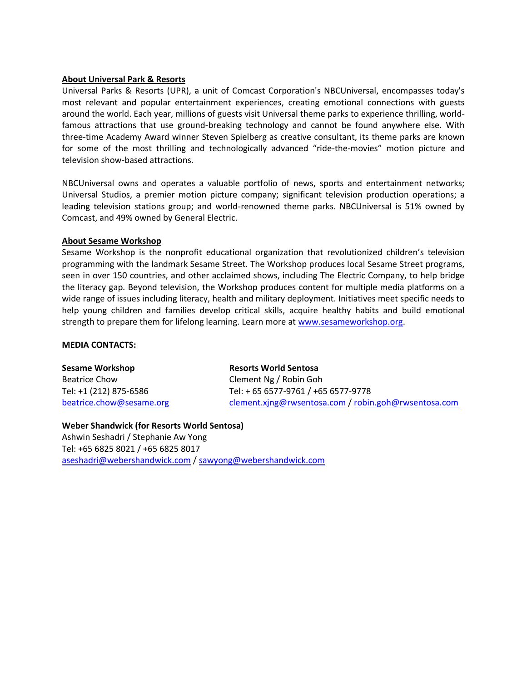#### **About Universal Park & Resorts**

Universal Parks & Resorts (UPR), a unit of Comcast Corporation's NBCUniversal, encompasses today's most relevant and popular entertainment experiences, creating emotional connections with guests around the world. Each year, millions of guests visit Universal theme parks to experience thrilling, worldfamous attractions that use ground-breaking technology and cannot be found anywhere else. With three-time Academy Award winner Steven Spielberg as creative consultant, its theme parks are known for some of the most thrilling and technologically advanced "ride-the-movies" motion picture and television show-based attractions.

NBCUniversal owns and operates a valuable portfolio of news, sports and entertainment networks; Universal Studios, a premier motion picture company; significant television production operations; a leading television stations group; and world-renowned theme parks. NBCUniversal is 51% owned by Comcast, and 49% owned by General Electric.

#### **About Sesame Workshop**

Sesame Workshop is the nonprofit educational organization that revolutionized children's television programming with the landmark Sesame Street. The Workshop produces local Sesame Street programs, seen in over 150 countries, and other acclaimed shows, including The Electric Company, to help bridge the literacy gap. Beyond television, the Workshop produces content for multiple media platforms on a wide range of issues including literacy, health and military deployment. Initiatives meet specific needs to help young children and families develop critical skills, acquire healthy habits and build emotional strength to prepare them for lifelong learning. Learn more at [www.sesameworkshop.org.](http://www.sesameworkshop.org/)

#### **MEDIA CONTACTS:**

**Sesame Workshop** Beatrice Chow Tel: +1 (212) 875-6586 [beatrice.chow@sesame.org](mailto:beatrice.chow@sesameworkshop.org)

**Resorts World Sentosa** Clement Ng / Robin Goh Tel: + 65 6577-9761 / +65 6577-9778 [clement.xjng@rwsentosa.com](mailto:clement.xjng@rwsentosa.com) / [robin.goh@rwsentosa.com](mailto:robin.goh@rwsentosa.com)

#### **Weber Shandwick (for Resorts World Sentosa)** Ashwin Seshadri / Stephanie Aw Yong Tel: +65 6825 8021 / +65 6825 8017 [aseshadri@webershandwick.com](mailto:aseshadri@webershandwick.com) / [sawyong@webershandwick.com](mailto:sawyong@webershandwick.com)